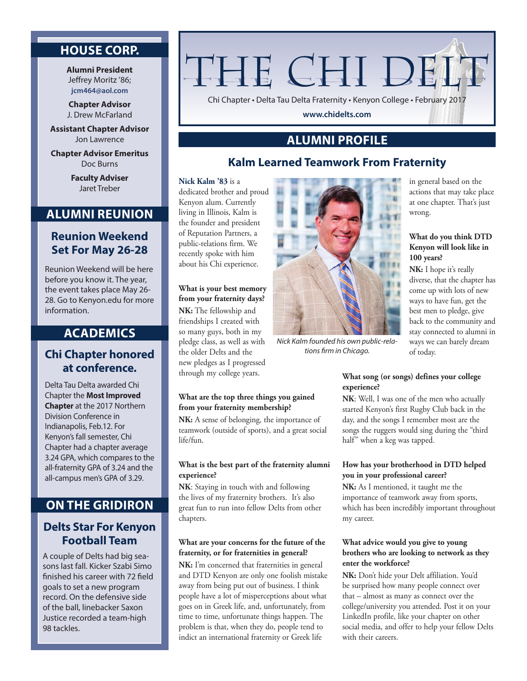## **HOUSE CORP.**

**Alumni President** Jeffrey Moritz '86; **jcm464@aol.com**

**Chapter Advisor** J. Drew McFarland

**Assistant Chapter Advisor** Jon Lawrence

**Chapter Advisor Emeritus** Doc Burns

> **Faculty Adviser** Jaret Treber

# **ALUMNI REUNION**

## **Reunion Weekend Set For May 26-28**

Reunion Weekend will be here before you know it. The year, the event takes place May 26- 28. Go to Kenyon.edu for more information.

## **ACADEMICS**

## **Chi Chapter honored at conference.**

Delta Tau Delta awarded Chi Chapter the **Most Improved Chapter** at the 2017 Northern Division Conference in Indianapolis, Feb.12. For Kenyon's fall semester, Chi Chapter had a chapter average 3.24 GPA, which compares to the all-fraternity GPA of 3.24 and the all-campus men's GPA of 3.29.

## **ON THE GRIDIRON**

## **Delts Star For Kenyon Football Team**

A couple of Delts had big seasons last fall. Kicker Szabi Simo finished his career with 72 field goals to set a new program record. On the defensive side of the ball, linebacker Saxon Justice recorded a team-high 98 tackles.

# THE CHI DEL'

Chi Chapter • Delta Tau Delta Fraternity • Kenyon College • February 2017

**www.chidelts.com**

# **ALUMNI PROFILE**

## **Kalm Learned Teamwork From Fraternity**

#### **Nick Kalm '83** is a

dedicated brother and proud Kenyon alum. Currently living in Illinois, Kalm is the founder and president of Reputation Partners, a public-relations firm. We recently spoke with him about his Chi experience.

**What is your best memory from your fraternity days? NK:** The fellowship and friendships I created with so many guys, both in my pledge class, as well as with the older Delts and the new pledges as I progressed through my college years.

#### **What are the top three things you gained from your fraternity membership?**

**NK:** A sense of belonging, the importance of teamwork (outside of sports), and a great social life/fun.

#### **What is the best part of the fraternity alumni experience?**

**NK**: Staying in touch with and following the lives of my fraternity brothers. It's also great fun to run into fellow Delts from other chapters.

## **What are your concerns for the future of the fraternity, or for fraternities in general?**

**NK:** I'm concerned that fraternities in general and DTD Kenyon are only one foolish mistake away from being put out of business. I think people have a lot of misperceptions about what goes on in Greek life, and, unfortunately, from time to time, unfortunate things happen. The problem is that, when they do, people tend to indict an international fraternity or Greek life



*Nick Kalm founded his own public-relations firm in Chicago.*

in general based on the actions that may take place at one chapter. That's just wrong.

## **What do you think DTD Kenyon will look like in 100 years?**

**NK:** I hope it's really diverse, that the chapter has come up with lots of new ways to have fun, get the best men to pledge, give back to the community and stay connected to alumni in ways we can barely dream of today.

## **What song (or songs) defines your college experience?**

**NK**: Well, I was one of the men who actually started Kenyon's first Rugby Club back in the day, and the songs I remember most are the songs the ruggers would sing during the "third half" when a keg was tapped.

## **How has your brotherhood in DTD helped you in your professional career?**

**NK:** As I mentioned, it taught me the importance of teamwork away from sports, which has been incredibly important throughout my career.

#### **What advice would you give to young brothers who are looking to network as they enter the workforce?**

**NK:** Don't hide your Delt affiliation. You'd be surprised how many people connect over that – almost as many as connect over the college/university you attended. Post it on your LinkedIn profile, like your chapter on other social media, and offer to help your fellow Delts with their careers.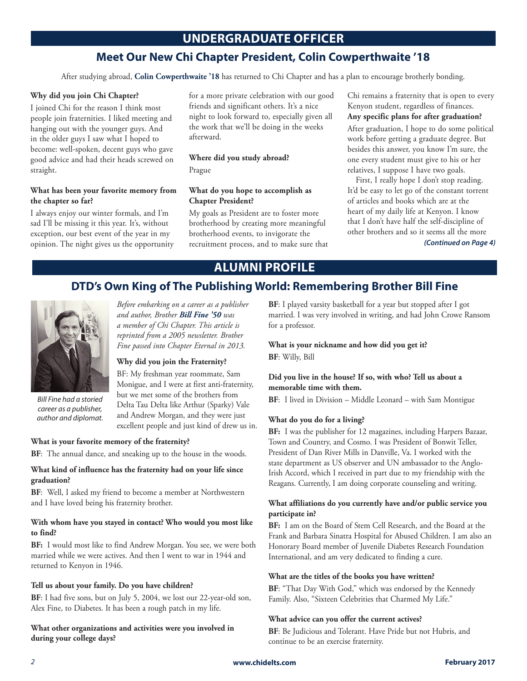## **UNDERGRADUATE OFFICER**

## **Meet Our New Chi Chapter President, Colin Cowperthwaite '18**

After studying abroad, **Colin Cowperthwaite '18** has returned to Chi Chapter and has a plan to encourage brotherly bonding.

#### **Why did you join Chi Chapter?**

I joined Chi for the reason I think most people join fraternities. I liked meeting and hanging out with the younger guys. And in the older guys I saw what I hoped to become: well-spoken, decent guys who gave good advice and had their heads screwed on straight.

#### **What has been your favorite memory from the chapter so far?**

I always enjoy our winter formals, and I'm sad I'll be missing it this year. It's, without exception, our best event of the year in my opinion. The night gives us the opportunity for a more private celebration with our good friends and significant others. It's a nice night to look forward to, especially given all the work that we'll be doing in the weeks afterward.

# **Where did you study abroad?**

Prague

#### **What do you hope to accomplish as Chapter President?**

My goals as President are to foster more brotherhood by creating more meaningful brotherhood events, to invigorate the recruitment process, and to make sure that Chi remains a fraternity that is open to every Kenyon student, regardless of finances.

## **Any specific plans for after graduation?**

After graduation, I hope to do some political work before getting a graduate degree. But besides this answer, you know I'm sure, the one every student must give to his or her relatives, I suppose I have two goals.

First, I really hope I don't stop reading. It'd be easy to let go of the constant torrent of articles and books which are at the heart of my daily life at Kenyon. I know that I don't have half the self-discipline of other brothers and so it seems all the more

*(Continued on Page 4)*

# **ALUMNI PROFILE**

## **DTD's Own King of The Publishing World: Remembering Brother Bill Fine**



*Bill Fine had a storied career as a publisher, author and diplomat.*

## *Before embarking on a career as a publisher and author, Brother Bill Fine '50 was a member of Chi Chapter. This article is reprinted from a 2005 newsletter. Brother Fine passed into Chapter Eternal in 2013.*

## **Why did you join the Fraternity?**

BF: My freshman year roommate, Sam Monigue, and I were at first anti-fraternity, but we met some of the brothers from Delta Tau Delta like Arthur (Sparky) Vale and Andrew Morgan, and they were just excellent people and just kind of drew us in.

### **What is your favorite memory of the fraternity?**

**BF**: The annual dance, and sneaking up to the house in the woods.

#### **What kind of influence has the fraternity had on your life since graduation?**

**BF**: Well, I asked my friend to become a member at Northwestern and I have loved being his fraternity brother.

#### **With whom have you stayed in contact? Who would you most like to find?**

**BF:** I would most like to find Andrew Morgan. You see, we were both married while we were actives. And then I went to war in 1944 and returned to Kenyon in 1946.

#### **Tell us about your family. Do you have children?**

**BF**: I had five sons, but on July 5, 2004, we lost our 22-year-old son, Alex Fine, to Diabetes. It has been a rough patch in my life.

**What other organizations and activities were you involved in during your college days?**

**BF**: I played varsity basketball for a year but stopped after I got married. I was very involved in writing, and had John Crowe Ransom for a professor.

## **What is your nickname and how did you get it? BF**: Willy, Bill

### **Did you live in the house? If so, with who? Tell us about a memorable time with them.**

**BF**: I lived in Division – Middle Leonard – with Sam Montigue

#### **What do you do for a living?**

**BF:** I was the publisher for 12 magazines, including Harpers Bazaar, Town and Country, and Cosmo. I was President of Bonwit Teller, President of Dan River Mills in Danville, Va. I worked with the state department as US observer and UN ambassador to the Anglo-Irish Accord, which I received in part due to my friendship with the Reagans. Currently, I am doing corporate counseling and writing.

### **What affiliations do you currently have and/or public service you participate in?**

**BF:** I am on the Board of Stem Cell Research, and the Board at the Frank and Barbara Sinatra Hospital for Abused Children. I am also an Honorary Board member of Juvenile Diabetes Research Foundation International, and am very dedicated to finding a cure.

#### **What are the titles of the books you have written?**

**BF**: "That Day With God," which was endorsed by the Kennedy Family. Also, "Sixteen Celebrities that Charmed My Life."

#### **What advice can you offer the current actives?**

**BF**: Be Judicious and Tolerant. Have Pride but not Hubris, and continue to be an exercise fraternity.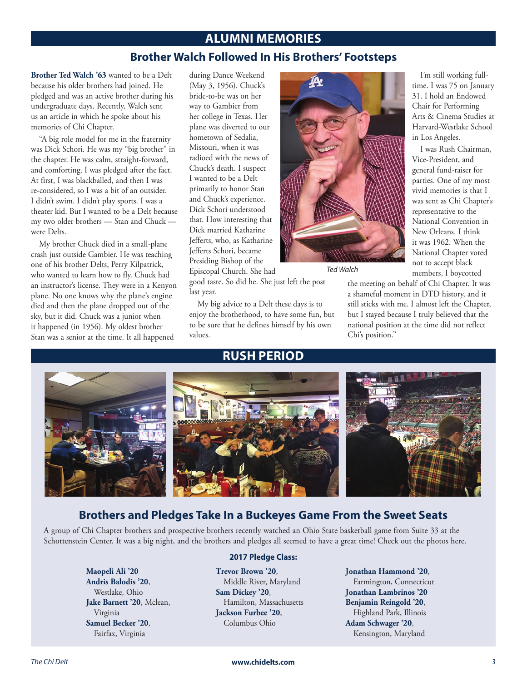## **ALUMNI MEMORIES**

## **Brother Walch Followed In His Brothers' Footsteps**

**Brother Ted Walch '63** wanted to be a Delt because his older brothers had joined. He pledged and was an active brother during his undergraduate days. Recently, Walch sent us an article in which he spoke about his memories of Chi Chapter.

"A big role model for me in the fraternity was Dick Schori. He was my "big brother" in the chapter. He was calm, straight-forward, and comforting. I was pledged after the fact. At first, I was blackballed, and then I was re-considered, so I was a bit of an outsider. I didn't swim. I didn't play sports. I was a theater kid. But I wanted to be a Delt because my two older brothers — Stan and Chuck were Delts.

My brother Chuck died in a small-plane crash just outside Gambier. He was teaching one of his brother Delts, Perry Kilpatrick, who wanted to learn how to fly. Chuck had an instructor's license. They were in a Kenyon plane. No one knows why the plane's engine died and then the plane dropped out of the sky, but it did. Chuck was a junior when it happened (in 1956). My oldest brother Stan was a senior at the time. It all happened

during Dance Weekend (May 3, 1956). Chuck's bride-to-be was on her way to Gambier from her college in Texas. Her plane was diverted to our hometown of Sedalia, Missouri, when it was radioed with the news of Chuck's death. I suspect I wanted to be a Delt primarily to honor Stan and Chuck's experience. Dick Schori understood that. How interesting that Dick married Katharine Jefferts, who, as Katharine Jefferts Schori, became Presiding Bishop of the Episcopal Church. She had

good taste. So did he. She just left the post last year.

My big advice to a Delt these days is to enjoy the brotherhood, to have some fun, but to be sure that he defines himself by his own values.

## **RUSH PERIOD**



*Ted Walch*

I'm still working fulltime. I was 75 on January 31. I hold an Endowed Chair for Performing Arts & Cinema Studies at Harvard-Westlake School in Los Angeles.

I was Rush Chairman, Vice-President, and general fund-raiser for parties. One of my most vivid memories is that I was sent as Chi Chapter's representative to the National Convention in New Orleans. I think it was 1962. When the National Chapter voted not to accept black members, I boycotted

the meeting on behalf of Chi Chapter. It was a shameful moment in DTD history, and it still sticks with me. I almost left the Chapter, but I stayed because I truly believed that the national position at the time did not reflect Chi's position."



## **Brothers and Pledges Take In a Buckeyes Game From the Sweet Seats**

A group of Chi Chapter brothers and prospective brothers recently watched an Ohio State basketball game from Suite 33 at the Schottenstein Center. It was a big night, and the brothers and pledges all seemed to have a great time! Check out the photos here.

> **Maopeli Ali '20 Andris Balodis '20**, Westlake, Ohio **Jake Barnett '20**, Mclean, Virginia **Samuel Becker '20**, Fairfax, Virginia

## **2017 Pledge Class:**

**Trevor Brown '20**, Middle River, Maryland **Sam Dickey '20**, Hamilton, Massachusetts **Jackson Furbee '20**, Columbus Ohio

**Jonathan Hammond '20**, Farmington, Connecticut **Jonathan Lambrinos '20 Benjamin Reingold '20**, Highland Park, Illinois **Adam Schwager '20**, Kensington, Maryland